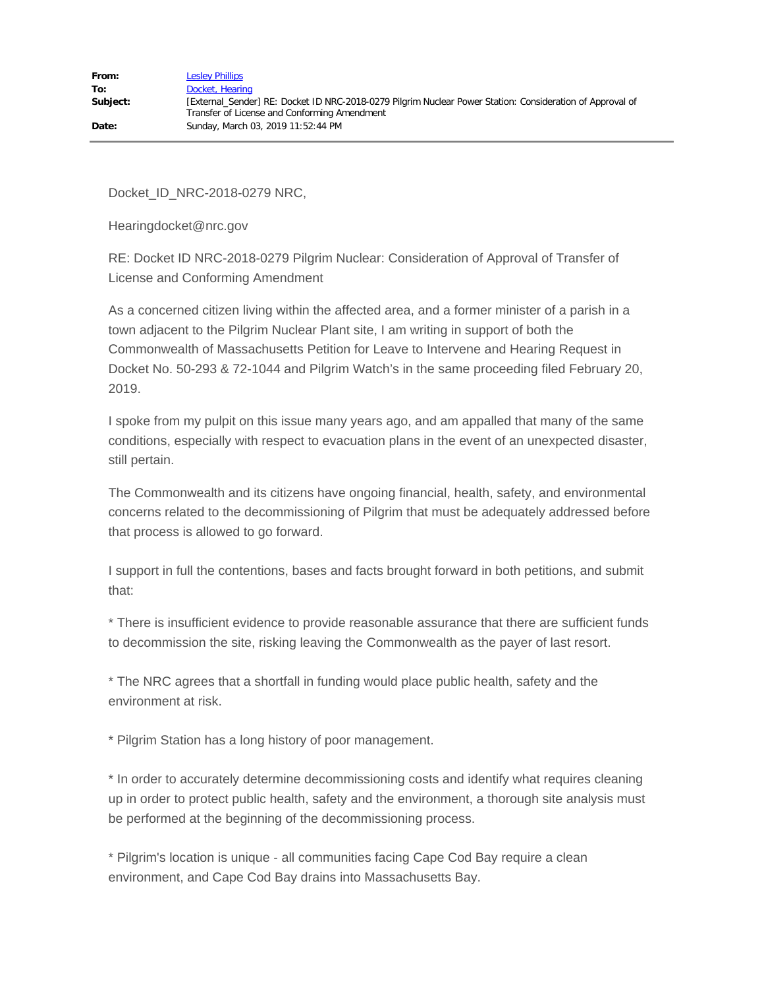Docket\_ID\_NRC-2018-0279 NRC,

Hearingdocket@nrc.gov

RE: Docket ID NRC-2018-0279 Pilgrim Nuclear: Consideration of Approval of Transfer of License and Conforming Amendment

As a concerned citizen living within the affected area, and a former minister of a parish in a town adjacent to the Pilgrim Nuclear Plant site, I am writing in support of both the Commonwealth of Massachusetts Petition for Leave to Intervene and Hearing Request in Docket No. 50-293 & 72-1044 and Pilgrim Watch's in the same proceeding filed February 20, 2019.

I spoke from my pulpit on this issue many years ago, and am appalled that many of the same conditions, especially with respect to evacuation plans in the event of an unexpected disaster, still pertain.

The Commonwealth and its citizens have ongoing financial, health, safety, and environmental concerns related to the decommissioning of Pilgrim that must be adequately addressed before that process is allowed to go forward.

I support in full the contentions, bases and facts brought forward in both petitions, and submit that:

\* There is insufficient evidence to provide reasonable assurance that there are sufficient funds to decommission the site, risking leaving the Commonwealth as the payer of last resort.

\* The NRC agrees that a shortfall in funding would place public health, safety and the environment at risk.

\* Pilgrim Station has a long history of poor management.

\* In order to accurately determine decommissioning costs and identify what requires cleaning up in order to protect public health, safety and the environment, a thorough site analysis must be performed at the beginning of the decommissioning process.

\* Pilgrim's location is unique - all communities facing Cape Cod Bay require a clean environment, and Cape Cod Bay drains into Massachusetts Bay.